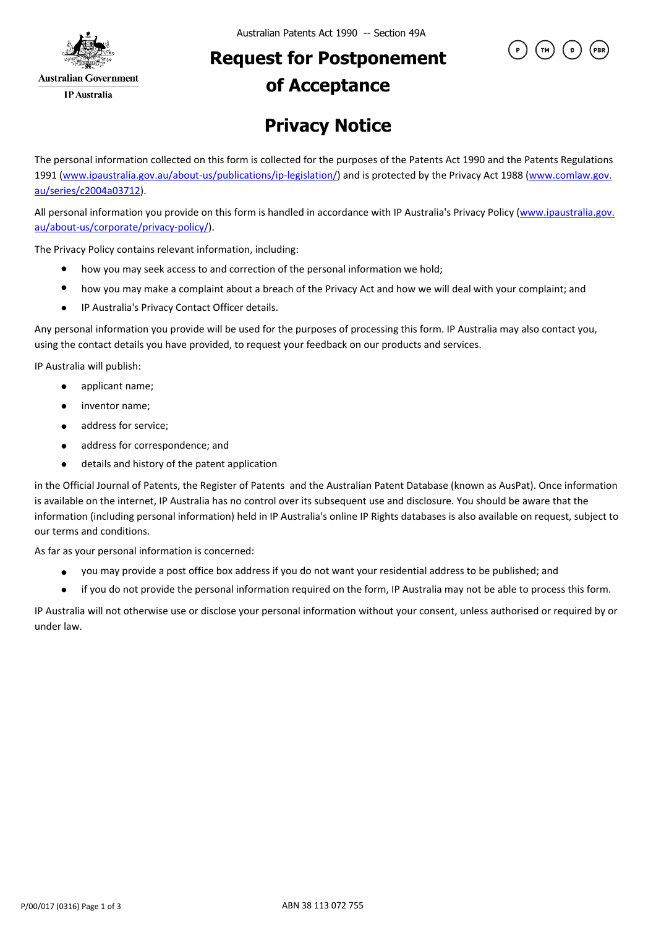

## **Request for Postponement of Acceptance**



The personal information collected on this form is collected for the purposes of the Patents Act 1990 and the Patents Regulations 1991 (www.ipaustralia.gov.au/about-us/publications/ip-legislation/) and is protected by the Privacy Act 1988 (www.comlaw.gov. au/series/c2004a03712).

All personal information you provide on this form is handled in accordance with IP Australia's Privacy Policy (www.ipaustralia.gov. au/about-us/corporate/privacy-policy/).

The Privacy Policy contains relevant information, including:

- how you may seek access to and correction of the personal information we hold;
- $\bullet$ how you may make a complaint about a breach of the Privacy Act and how we will deal with your complaint; and
- IP Australia's Privacy Contact Officer details.  $\bullet$

Any personal information you provide will be used for the purposes of processing this form. IP Australia may also contact you, using the contact details you have provided, to request your feedback on our products and services.

IP Australia will publish:

- applicant name;
- inventor name;  $\bullet$
- address for service;  $\bullet$
- address for correspondence; and  $\bullet$
- details and history of the patent application  $\bullet$

in the Official Journal of Patents, the Register of Patents and the Australian Patent Database (known as AusPat). Once information is available on the internet, IP Australia has no control over its subsequent use and disclosure. You should be aware that the information (including personal information) held in IP Australia's online IP Rights databases is also available on request, subject to our terms and conditions.

As far as your personal information is concerned:

- you may provide a post office box address if you do not want your residential address to be published; and
- if you do not provide the personal information required on the form, IP Australia may not be able to process this form.  $\bullet$

IP Australia will not otherwise use or disclose your personal information without your consent, unless authorised or required by or under law.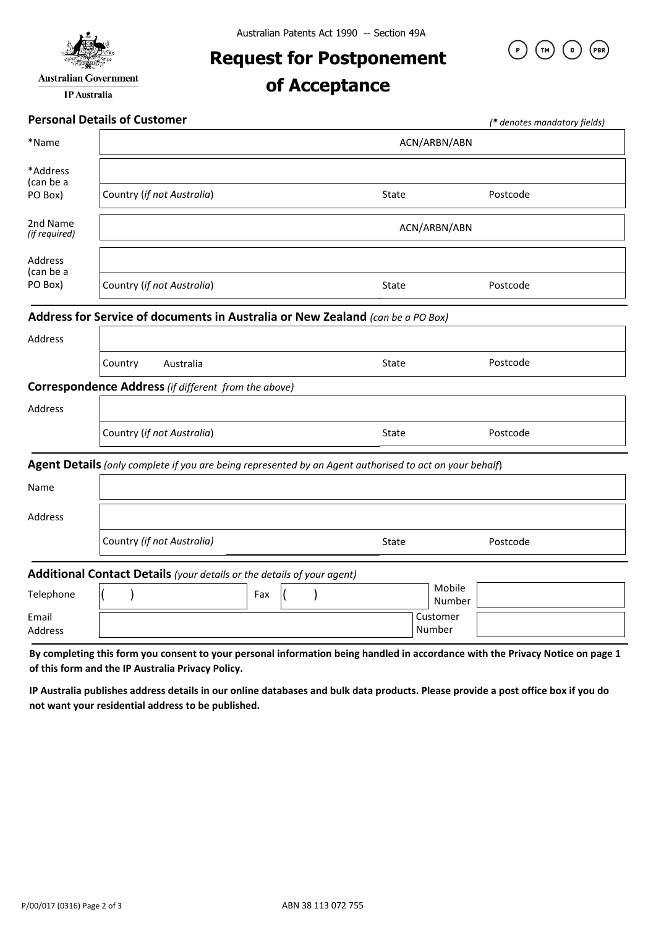

**IP** Australia

**Request for Postponement** 

## **of Acceptance**



## **Personal Details of Customer**

|                           | Personal Details of Customer                                                                            |       |                    | (* denotes mandatory fields) |  |
|---------------------------|---------------------------------------------------------------------------------------------------------|-------|--------------------|------------------------------|--|
| *Name                     | ACN/ARBN/ABN                                                                                            |       |                    |                              |  |
| *Address<br>(can be a     |                                                                                                         |       |                    |                              |  |
| PO Box)                   | Country (if not Australia)                                                                              | State |                    | Postcode                     |  |
| 2nd Name<br>(if required) | ACN/ARBN/ABN                                                                                            |       |                    |                              |  |
| Address<br>(can be a      |                                                                                                         |       |                    |                              |  |
| PO Box)                   | Country (if not Australia)                                                                              | State |                    | Postcode                     |  |
|                           | Address for Service of documents in Australia or New Zealand (can be a PO Box)                          |       |                    |                              |  |
| Address                   |                                                                                                         |       |                    |                              |  |
|                           | Country<br>Australia                                                                                    | State |                    | Postcode                     |  |
|                           | <b>Correspondence Address</b> (if different from the above)                                             |       |                    |                              |  |
| Address                   |                                                                                                         |       |                    |                              |  |
|                           | Country (if not Australia)                                                                              | State |                    | Postcode                     |  |
|                           | Agent Details (only complete if you are being represented by an Agent authorised to act on your behalf) |       |                    |                              |  |
| Name                      |                                                                                                         |       |                    |                              |  |
| Address                   |                                                                                                         |       |                    |                              |  |
|                           | Country (if not Australia)                                                                              | State |                    | Postcode                     |  |
|                           | Additional Contact Details (your details or the details of your agent)                                  |       |                    |                              |  |
| Telephone                 | Fax                                                                                                     |       | Mobile<br>Number   |                              |  |
| Email<br>Address          |                                                                                                         |       | Customer<br>Number |                              |  |

**By completing this form you consent to your personal information being handled in accordance with the Privacy Notice on page 1 of this form and the IP Australia Privacy Policy.** 

**IP Australia publishes address details in our online databases and bulk data products. Please provide a post office box if you do not want your residential address to be published.**